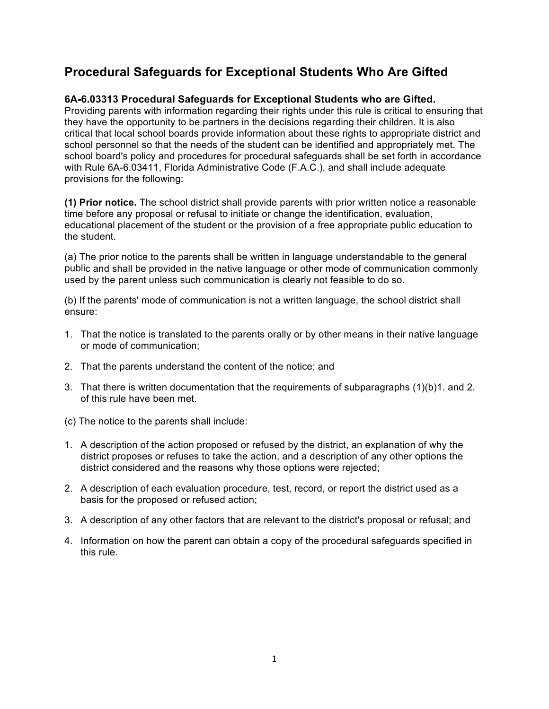# **Procedural Safeguards for Exceptional Students Who Are Gifted**

## **6A-6.03313 Procedural Safeguards for Exceptional Students who are Gifted.**

 Providing parents with information regarding their rights under this rule is critical to ensuring that critical that local school boards provide information about these rights to appropriate district and school personnel so that the needs of the student can be identified and appropriately met. The school board's policy and procedures for procedural safeguards shall be set forth in accordance with Rule 6A-6.03411, Florida Administrative Code (F.A.C.), and shall include adequate provisions for the following: they have the opportunity to be partners in the decisions regarding their children. It is also

 **(1) Prior notice.** The school district shall provide parents with prior written notice a reasonable educational placement of the student or the provision of a free appropriate public education to time before any proposal or refusal to initiate or change the identification, evaluation, the student.

 (a) The prior notice to the parents shall be written in language understandable to the general public and shall be provided in the native language or other mode of communication commonly used by the parent unless such communication is clearly not feasible to do so.

 (b) If the parents' mode of communication is not a written language, the school district shall ensure:

- 1. That the notice is translated to the parents orally or by other means in their native language or mode of communication;
- 2. That the parents understand the content of the notice; and
- 3. That there is written documentation that the requirements of subparagraphs (1)(b)1. and 2. of this rule have been met.
- (c) The notice to the parents shall include:
- 1. A description of the action proposed or refused by the district, an explanation of why the district proposes or refuses to take the action, and a description of any other options the district considered and the reasons why those options were rejected;
- 2. A description of each evaluation procedure, test, record, or report the district used as a basis for the proposed or refused action;
- 3. A description of any other factors that are relevant to the district's proposal or refusal; and
- 4. Information on how the parent can obtain a copy of the procedural safeguards specified in this rule.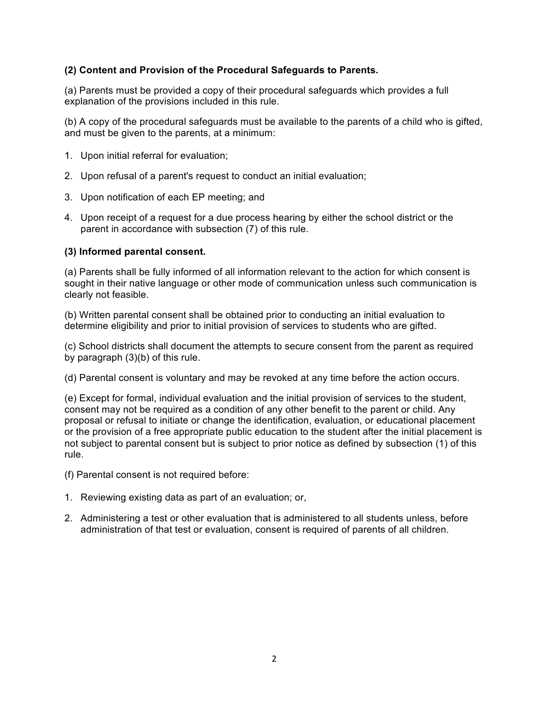### **(2) Content and Provision of the Procedural Safeguards to Parents.**

 (a) Parents must be provided a copy of their procedural safeguards which provides a full explanation of the provisions included in this rule.

 (b) A copy of the procedural safeguards must be available to the parents of a child who is gifted, and must be given to the parents, at a minimum:

- 1. Upon initial referral for evaluation;
- 2. Upon refusal of a parent's request to conduct an initial evaluation;
- 3. Upon notification of each EP meeting; and
- 4. Upon receipt of a request for a due process hearing by either the school district or the parent in accordance with subsection (7) of this rule.

#### **(3) Informed parental consent.**

 (a) Parents shall be fully informed of all information relevant to the action for which consent is sought in their native language or other mode of communication unless such communication is clearly not feasible.

 (b) Written parental consent shall be obtained prior to conducting an initial evaluation to determine eligibility and prior to initial provision of services to students who are gifted.

 (c) School districts shall document the attempts to secure consent from the parent as required by paragraph (3)(b) of this rule.

(d) Parental consent is voluntary and may be revoked at any time before the action occurs.

 (e) Except for formal, individual evaluation and the initial provision of services to the student, consent may not be required as a condition of any other benefit to the parent or child. Any proposal or refusal to initiate or change the identification, evaluation, or educational placement or the provision of a free appropriate public education to the student after the initial placement is not subject to parental consent but is subject to prior notice as defined by subsection (1) of this rule.

(f) Parental consent is not required before:

- 1. Reviewing existing data as part of an evaluation; or,
- 2. Administering a test or other evaluation that is administered to all students unless, before administration of that test or evaluation, consent is required of parents of all children.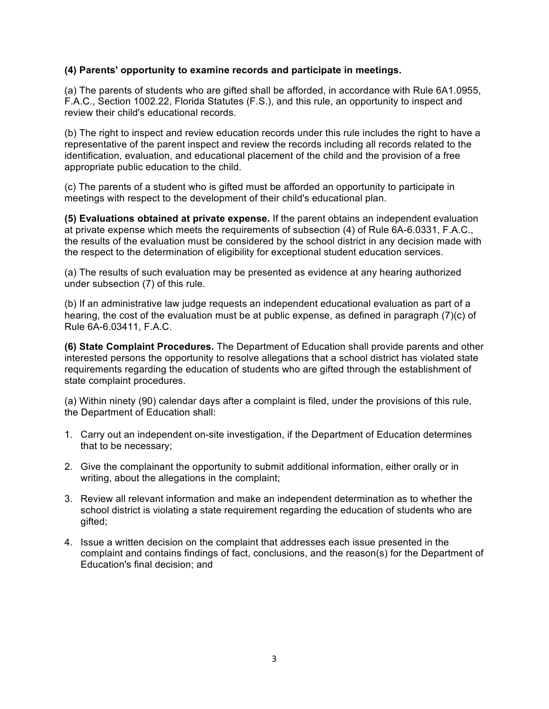#### **(4) Parents' opportunity to examine records and participate in meetings.**

 (a) The parents of students who are gifted shall be afforded, in accordance with Rule 6A1.0955, F.A.C., Section 1002.22, Florida Statutes (F.S.), and this rule, an opportunity to inspect and review their child's educational records.

 (b) The right to inspect and review education records under this rule includes the right to have a representative of the parent inspect and review the records including all records related to the identification, evaluation, and educational placement of the child and the provision of a free appropriate public education to the child.

 (c) The parents of a student who is gifted must be afforded an opportunity to participate in meetings with respect to the development of their child's educational plan.

 **(5) Evaluations obtained at private expense.** If the parent obtains an independent evaluation at private expense which meets the requirements of subsection (4) of Rule 6A-6.0331, F.A.C., the results of the evaluation must be considered by the school district in any decision made with the respect to the determination of eligibility for exceptional student education services.

 (a) The results of such evaluation may be presented as evidence at any hearing authorized under subsection (7) of this rule.

 (b) If an administrative law judge requests an independent educational evaluation as part of a hearing, the cost of the evaluation must be at public expense, as defined in paragraph (7)(c) of Rule 6A-6.03411, F.A.C.

 **(6) State Complaint Procedures.** The Department of Education shall provide parents and other interested persons the opportunity to resolve allegations that a school district has violated state requirements regarding the education of students who are gifted through the establishment of state complaint procedures.

 (a) Within ninety (90) calendar days after a complaint is filed, under the provisions of this rule, the Department of Education shall:

- 1. Carry out an independent on-site investigation, if the Department of Education determines that to be necessary;
- 2. Give the complainant the opportunity to submit additional information, either orally or in writing, about the allegations in the complaint;
- 3. Review all relevant information and make an independent determination as to whether the school district is violating a state requirement regarding the education of students who are gifted;
- complaint and contains findings of fact, conclusions, and the reason(s) for the Department of Education's final decision; and 4. Issue a written decision on the complaint that addresses each issue presented in the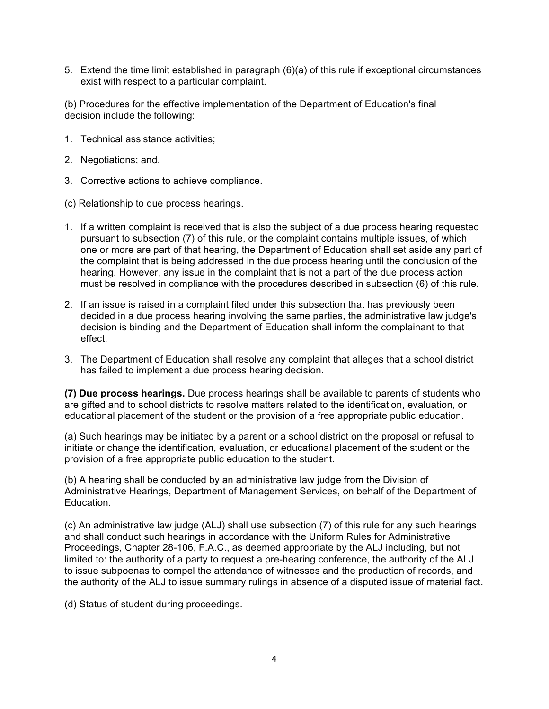5. Extend the time limit established in paragraph (6)(a) of this rule if exceptional circumstances exist with respect to a particular complaint.

 (b) Procedures for the effective implementation of the Department of Education's final decision include the following:

- 1. Technical assistance activities;
- 2. Negotiations; and,
- 3. Corrective actions to achieve compliance.
- (c) Relationship to due process hearings.
- pursuant to subsection (7) of this rule, or the complaint contains multiple issues, of which one or more are part of that hearing, the Department of Education shall set aside any part of hearing. However, any issue in the complaint that is not a part of the due process action must be resolved in compliance with the procedures described in subsection (6) of this rule. 1. If a written complaint is received that is also the subject of a due process hearing requested the complaint that is being addressed in the due process hearing until the conclusion of the
- decided in a due process hearing involving the same parties, the administrative law judge's 2. If an issue is raised in a complaint filed under this subsection that has previously been decision is binding and the Department of Education shall inform the complainant to that effect.
- 3. The Department of Education shall resolve any complaint that alleges that a school district has failed to implement a due process hearing decision.

 **(7) Due process hearings.** Due process hearings shall be available to parents of students who are gifted and to school districts to resolve matters related to the identification, evaluation, or educational placement of the student or the provision of a free appropriate public education.

 initiate or change the identification, evaluation, or educational placement of the student or the (a) Such hearings may be initiated by a parent or a school district on the proposal or refusal to provision of a free appropriate public education to the student.

 (b) A hearing shall be conducted by an administrative law judge from the Division of Administrative Hearings, Department of Management Services, on behalf of the Department of Education.

 (c) An administrative law judge (ALJ) shall use subsection (7) of this rule for any such hearings and shall conduct such hearings in accordance with the Uniform Rules for Administrative Proceedings, Chapter 28-106, F.A.C., as deemed appropriate by the ALJ including, but not limited to: the authority of a party to request a pre-hearing conference, the authority of the ALJ to issue subpoenas to compel the attendance of witnesses and the production of records, and the authority of the ALJ to issue summary rulings in absence of a disputed issue of material fact.

(d) Status of student during proceedings.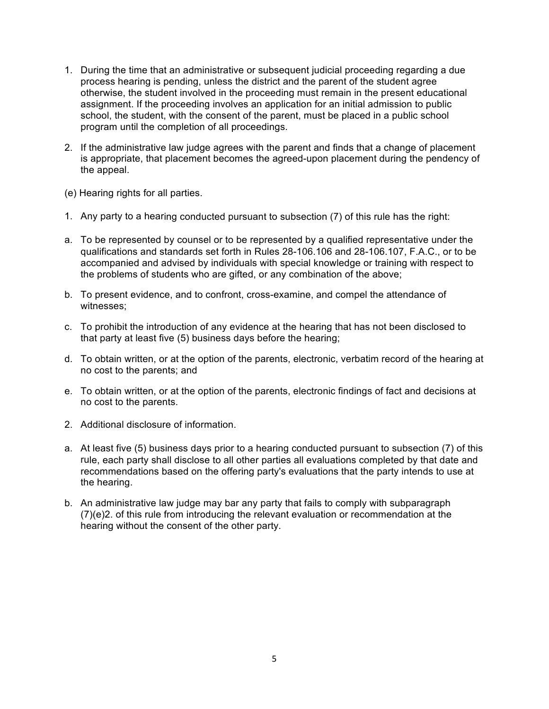- 1. During the time that an administrative or subsequent judicial proceeding regarding a due process hearing is pending, unless the district and the parent of the student agree otherwise, the student involved in the proceeding must remain in the present educational assignment. If the proceeding involves an application for an initial admission to public school, the student, with the consent of the parent, must be placed in a public school program until the completion of all proceedings.
- is appropriate, that placement becomes the agreed-upon placement during the pendency of 2. If the administrative law judge agrees with the parent and finds that a change of placement the appeal.
- (e) Hearing rights for all parties.
- 1. Any party to a hearing conducted pursuant to subsection (7) of this rule has the right:
- a. To be represented by counsel or to be represented by a qualified representative under the qualifications and standards set forth in Rules 28-106.106 and 28-106.107, F.A.C., or to be accompanied and advised by individuals with special knowledge or training with respect to the problems of students who are gifted, or any combination of the above;
- b. To present evidence, and to confront, cross-examine, and compel the attendance of witnesses;
- c. To prohibit the introduction of any evidence at the hearing that has not been disclosed to that party at least five (5) business days before the hearing;
- d. To obtain written, or at the option of the parents, electronic, verbatim record of the hearing at no cost to the parents; and
- e. To obtain written, or at the option of the parents, electronic findings of fact and decisions at no cost to the parents.
- 2. Additional disclosure of information.
- a. At least five (5) business days prior to a hearing conducted pursuant to subsection (7) of this rule, each party shall disclose to all other parties all evaluations completed by that date and recommendations based on the offering party's evaluations that the party intends to use at the hearing.
- b. An administrative law judge may bar any party that fails to comply with subparagraph (7)(e)2. of this rule from introducing the relevant evaluation or recommendation at the hearing without the consent of the other party.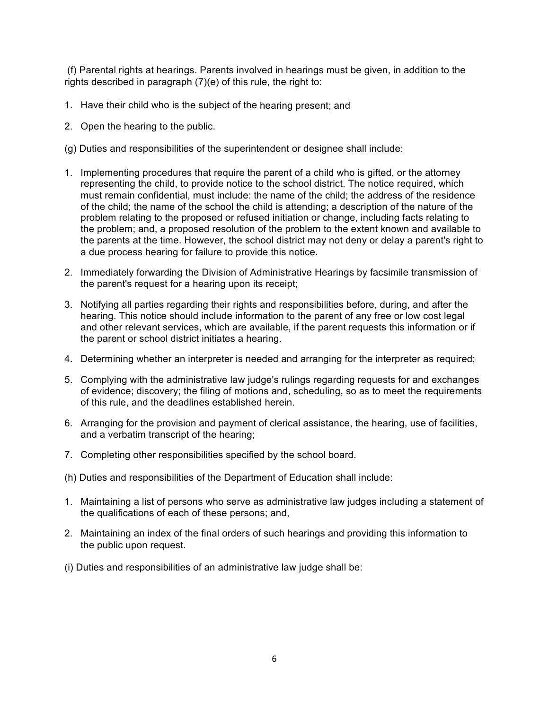(f) Parental rights at hearings. Parents involved in hearings must be given, in addition to the rights described in paragraph (7)(e) of this rule, the right to:

- 1. Have their child who is the subject of the hearing present; and
- 2. Open the hearing to the public.
- (g) Duties and responsibilities of the superintendent or designee shall include:
- representing the child, to provide notice to the school district. The notice required, which must remain confidential, must include: the name of the child; the address of the residence of the child; the name of the school the child is attending; a description of the nature of the problem relating to the proposed or refused initiation or change, including facts relating to the parents at the time. However, the school district may not deny or delay a parent's right to a due process hearing for failure to provide this notice. 1. Implementing procedures that require the parent of a child who is gifted, or the attorney the problem; and, a proposed resolution of the problem to the extent known and available to
- 2. Immediately forwarding the Division of Administrative Hearings by facsimile transmission of the parent's request for a hearing upon its receipt;
- 3. Notifying all parties regarding their rights and responsibilities before, during, and after the hearing. This notice should include information to the parent of any free or low cost legal and other relevant services, which are available, if the parent requests this information or if the parent or school district initiates a hearing.
- 4. Determining whether an interpreter is needed and arranging for the interpreter as required;
- 5. Complying with the administrative law judge's rulings regarding requests for and exchanges of evidence; discovery; the filing of motions and, scheduling, so as to meet the requirements of this rule, and the deadlines established herein.
- 6. Arranging for the provision and payment of clerical assistance, the hearing, use of facilities, and a verbatim transcript of the hearing;
- 7. Completing other responsibilities specified by the school board.
- (h) Duties and responsibilities of the Department of Education shall include:
- 1. Maintaining a list of persons who serve as administrative law judges including a statement of the qualifications of each of these persons; and,
- 2. Maintaining an index of the final orders of such hearings and providing this information to the public upon request.
- (i) Duties and responsibilities of an administrative law judge shall be: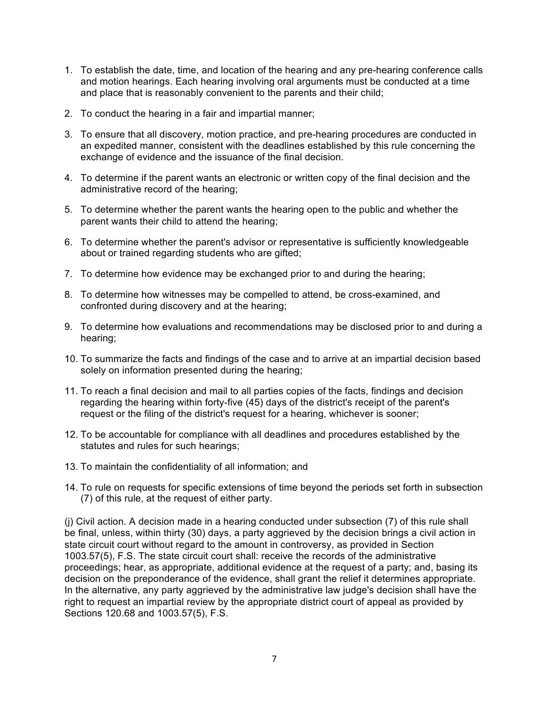- 1. To establish the date, time, and location of the hearing and any pre-hearing conference calls and motion hearings. Each hearing involving oral arguments must be conducted at a time and place that is reasonably convenient to the parents and their child;
- 2. To conduct the hearing in a fair and impartial manner;
- 3. To ensure that all discovery, motion practice, and pre-hearing procedures are conducted in an expedited manner, consistent with the deadlines established by this rule concerning the exchange of evidence and the issuance of the final decision.
- 4. To determine if the parent wants an electronic or written copy of the final decision and the administrative record of the hearing;
- 5. To determine whether the parent wants the hearing open to the public and whether the parent wants their child to attend the hearing;
- 6. To determine whether the parent's advisor or representative is sufficiently knowledgeable about or trained regarding students who are gifted;
- 7. To determine how evidence may be exchanged prior to and during the hearing;
- 8. To determine how witnesses may be compelled to attend, be cross-examined, and confronted during discovery and at the hearing;
- 9. To determine how evaluations and recommendations may be disclosed prior to and during a hearing;
- 10. To summarize the facts and findings of the case and to arrive at an impartial decision based solely on information presented during the hearing;
- 11. To reach a final decision and mail to all parties copies of the facts, findings and decision regarding the hearing within forty-five (45) days of the district's receipt of the parent's request or the filing of the district's request for a hearing, whichever is sooner;
- 12. To be accountable for compliance with all deadlines and procedures established by the statutes and rules for such hearings;
- 13. To maintain the confidentiality of all information; and
- 14. To rule on requests for specific extensions of time beyond the periods set forth in subsection (7) of this rule, at the request of either party.

 (j) Civil action. A decision made in a hearing conducted under subsection (7) of this rule shall be final, unless, within thirty (30) days, a party aggrieved by the decision brings a civil action in state circuit court without regard to the amount in controversy, as provided in Section proceedings; hear, as appropriate, additional evidence at the request of a party; and, basing its decision on the preponderance of the evidence, shall grant the relief it determines appropriate. right to request an impartial review by the appropriate district court of appeal as provided by Sections 120.68 and 1003.57(5), F.S. 1003.57(5), F.S. The state circuit court shall: receive the records of the administrative In the alternative, any party aggrieved by the administrative law judge's decision shall have the